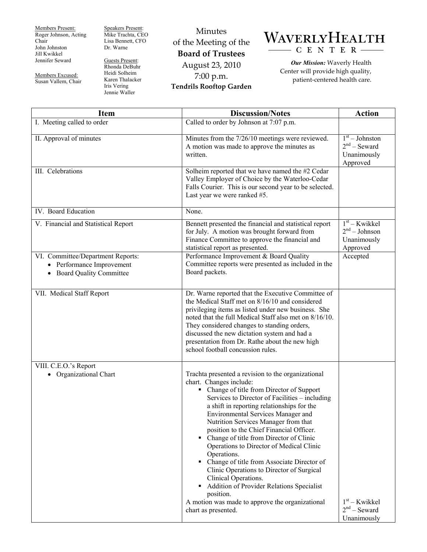Members Present: Roger Johnson, Acting Chair John Johnston Jill Kwikkel Jennifer Seward

Members Excused: Susan Vallem, Chair Speakers Present: Mike Trachta, CEO Lisa Bennett, CFO Dr. Warne

Guests Present: Rhonda DeBuhr Heidi Solheim Karen Thalacker Iris Vering Jennie Waller

Minutes of the Meeting of the **Board of Trustees**  August 23, 2010 7:00 p.m. **Tendrils Rooftop Garden** 



*Our Mission:* Waverly Health Center will provide high quality, patient-centered health care.

| Item                                                                                             | <b>Discussion/Notes</b>                                                                                                                                                                                                                                                                                                                                                                                                                                                                                                                                                                                                                                                                                                       | <b>Action</b>                                                 |
|--------------------------------------------------------------------------------------------------|-------------------------------------------------------------------------------------------------------------------------------------------------------------------------------------------------------------------------------------------------------------------------------------------------------------------------------------------------------------------------------------------------------------------------------------------------------------------------------------------------------------------------------------------------------------------------------------------------------------------------------------------------------------------------------------------------------------------------------|---------------------------------------------------------------|
| I. Meeting called to order                                                                       | Called to order by Johnson at 7:07 p.m.                                                                                                                                                                                                                                                                                                                                                                                                                                                                                                                                                                                                                                                                                       |                                                               |
| II. Approval of minutes                                                                          | Minutes from the 7/26/10 meetings were reviewed.<br>A motion was made to approve the minutes as<br>written.                                                                                                                                                                                                                                                                                                                                                                                                                                                                                                                                                                                                                   | $1st - Johnson$<br>$2nd$ – Seward<br>Unanimously<br>Approved  |
| III. Celebrations                                                                                | Solheim reported that we have named the #2 Cedar<br>Valley Employer of Choice by the Waterloo-Cedar<br>Falls Courier. This is our second year to be selected.<br>Last year we were ranked #5.                                                                                                                                                                                                                                                                                                                                                                                                                                                                                                                                 |                                                               |
| IV. Board Education                                                                              | None.                                                                                                                                                                                                                                                                                                                                                                                                                                                                                                                                                                                                                                                                                                                         |                                                               |
| V. Financial and Statistical Report                                                              | Bennett presented the financial and statistical report<br>for July. A motion was brought forward from<br>Finance Committee to approve the financial and<br>statistical report as presented.                                                                                                                                                                                                                                                                                                                                                                                                                                                                                                                                   | $1st - Kwikkel$<br>$2nd - Johnson$<br>Unanimously<br>Approved |
| VI. Committee/Department Reports:<br>• Performance Improvement<br><b>Board Quality Committee</b> | Performance Improvement & Board Quality<br>Committee reports were presented as included in the<br>Board packets.                                                                                                                                                                                                                                                                                                                                                                                                                                                                                                                                                                                                              | Accepted                                                      |
| VII. Medical Staff Report                                                                        | Dr. Warne reported that the Executive Committee of<br>the Medical Staff met on 8/16/10 and considered<br>privileging items as listed under new business. She<br>noted that the full Medical Staff also met on 8/16/10.<br>They considered changes to standing orders,<br>discussed the new dictation system and had a<br>presentation from Dr. Rathe about the new high<br>school football concussion rules.                                                                                                                                                                                                                                                                                                                  |                                                               |
| VIII. C.E.O.'s Report<br>Organizational Chart<br>$\bullet$                                       | Trachta presented a revision to the organizational<br>chart. Changes include:<br>• Change of title from Director of Support<br>Services to Director of Facilities - including<br>a shift in reporting relationships for the<br>Environmental Services Manager and<br>Nutrition Services Manager from that<br>position to the Chief Financial Officer.<br>• Change of title from Director of Clinic<br>Operations to Director of Medical Clinic<br>Operations.<br>• Change of title from Associate Director of<br>Clinic Operations to Director of Surgical<br>Clinical Operations.<br><b>Addition of Provider Relations Specialist</b><br>position.<br>A motion was made to approve the organizational<br>chart as presented. | $1st - Kwikkel$<br>$2nd$ – Seward<br>Unanimously              |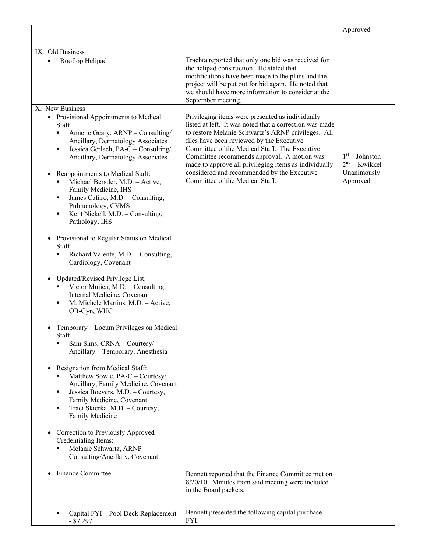|                                                                                                                                                                                                                                                                                                                                                                               |                                                                                                                                                                                                                                                                                                                                                                                                                                                           | Approved                                                       |
|-------------------------------------------------------------------------------------------------------------------------------------------------------------------------------------------------------------------------------------------------------------------------------------------------------------------------------------------------------------------------------|-----------------------------------------------------------------------------------------------------------------------------------------------------------------------------------------------------------------------------------------------------------------------------------------------------------------------------------------------------------------------------------------------------------------------------------------------------------|----------------------------------------------------------------|
|                                                                                                                                                                                                                                                                                                                                                                               |                                                                                                                                                                                                                                                                                                                                                                                                                                                           |                                                                |
| IX. Old Business<br>Rooftop Helipad                                                                                                                                                                                                                                                                                                                                           | Trachta reported that only one bid was received for<br>the helipad construction. He stated that<br>modifications have been made to the plans and the<br>project will be put out for bid again. He noted that<br>we should have more information to consider at the<br>September meeting.                                                                                                                                                                  |                                                                |
| X. New Business                                                                                                                                                                                                                                                                                                                                                               |                                                                                                                                                                                                                                                                                                                                                                                                                                                           |                                                                |
| • Provisional Appointments to Medical<br>Staff:<br>Annette Geary, ARNP – Consulting/<br>٠<br>Ancillary, Dermatology Associates<br>Jessica Gerlach, PA-C - Consulting/<br>٠<br>Ancillary, Dermatology Associates<br>Reappointments to Medical Staff:<br>Michael Berstler, M.D. - Active,<br>Family Medicine, IHS<br>James Cafaro, M.D. - Consulting,<br>٠<br>Pulmonology, CVMS | Privileging items were presented as individually<br>listed at left. It was noted that a correction was made<br>to restore Melanie Schwartz's ARNP privileges. All<br>files have been reviewed by the Executive<br>Committee of the Medical Staff. The Executive<br>Committee recommends approval. A motion was<br>made to approve all privileging items as individually<br>considered and recommended by the Executive<br>Committee of the Medical Staff. | $1st - Johnston$<br>$2nd - Kwikkel$<br>Unanimously<br>Approved |
| Kent Nickell, M.D. - Consulting,<br>Pathology, IHS                                                                                                                                                                                                                                                                                                                            |                                                                                                                                                                                                                                                                                                                                                                                                                                                           |                                                                |
| Provisional to Regular Status on Medical<br>Staff:<br>Richard Valente, M.D. - Consulting,<br>Cardiology, Covenant                                                                                                                                                                                                                                                             |                                                                                                                                                                                                                                                                                                                                                                                                                                                           |                                                                |
| Updated/Revised Privilege List:<br>Victor Mujica, M.D. - Consulting,<br>Internal Medicine, Covenant<br>M. Michele Martins, M.D. - Active,<br>٠<br>OB-Gyn, WHC                                                                                                                                                                                                                 |                                                                                                                                                                                                                                                                                                                                                                                                                                                           |                                                                |
| Temporary – Locum Privileges on Medical<br>Staff:<br>Sam Sims, CRNA - Courtesy/<br>Ancillary - Temporary, Anesthesia                                                                                                                                                                                                                                                          |                                                                                                                                                                                                                                                                                                                                                                                                                                                           |                                                                |
| Resignation from Medical Staff:<br>Matthew Sowle, PA-C - Courtesy/<br>Ancillary, Family Medicine, Covenant<br>Jessica Boevers, M.D. - Courtesy,<br>٠<br>Family Medicine, Covenant<br>Traci Skierka, M.D. - Courtesy,<br>Е<br>Family Medicine                                                                                                                                  |                                                                                                                                                                                                                                                                                                                                                                                                                                                           |                                                                |
| Correction to Previously Approved<br>Credentialing Items:<br>Melanie Schwartz, ARNP-<br>Consulting/Ancillary, Covenant                                                                                                                                                                                                                                                        |                                                                                                                                                                                                                                                                                                                                                                                                                                                           |                                                                |
| <b>Finance Committee</b>                                                                                                                                                                                                                                                                                                                                                      | Bennett reported that the Finance Committee met on<br>8/20/10. Minutes from said meeting were included<br>in the Board packets.                                                                                                                                                                                                                                                                                                                           |                                                                |
| Capital FYI - Pool Deck Replacement<br>$- $7,297$                                                                                                                                                                                                                                                                                                                             | Bennett presented the following capital purchase<br>FYI:                                                                                                                                                                                                                                                                                                                                                                                                  |                                                                |